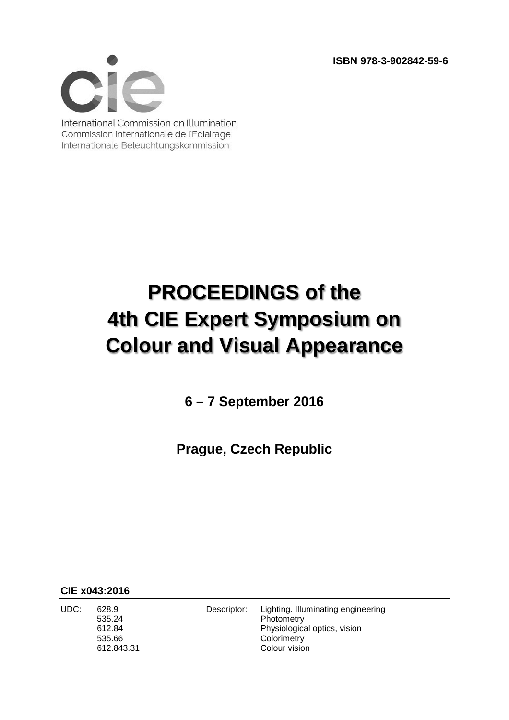**ISBN 978-3-902842-59-6**



International Commission on Illumination Commission Internationale de l'Eclairage Internationale Beleuchtungskommission

## **PROCEEDINGS of the 4th CIE Expert Symposium on Colour and Visual Appearance**

**6 – 7 September 2016**

**Prague, Czech Republic**

**CIE x043:2016**

535.24 Photometry 535.66 Colorimetry

UDC: 628.9 Descriptor: Lighting. Illuminating engineering 612.84 Physiological optics, vision 612.843.31 Colour vision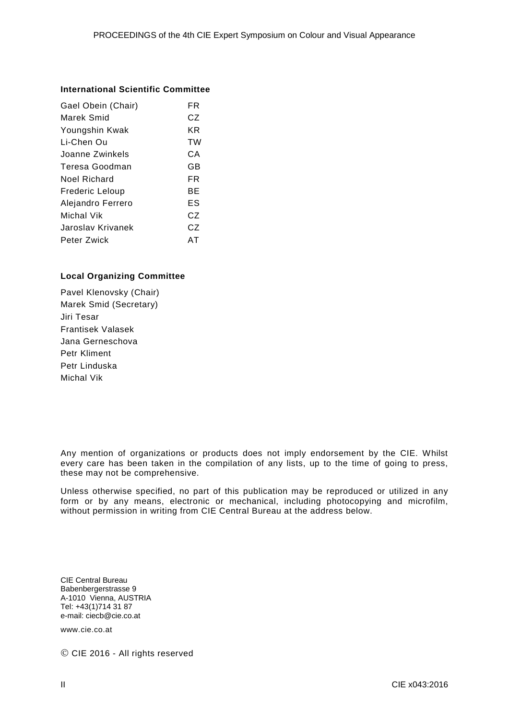## **International Scientific Committee**

| Gael Obein (Chair)     | FR |
|------------------------|----|
| Marek Smid             | CZ |
| Youngshin Kwak         | ΚR |
| Li-Chen Ou             | TW |
| Joanne Zwinkels        | CА |
| Teresa Goodman         | GB |
| Noel Richard           | FR |
| <b>Frederic Leloup</b> | ВE |
| Alejandro Ferrero      | ES |
| Michal Vik             | CZ |
| Jaroslav Krivanek      | CZ |
| Peter Zwick            | AТ |

## **Local Organizing Committee**

Pavel Klenovsky (Chair) Marek Smid (Secretary) Jiri Tesar Frantisek Valasek Jana Gerneschova Petr Kliment Petr Linduska Michal Vik

Any mention of organizations or products does not imply endorsement by the CIE. Whilst every care has been taken in the compilation of any lists, up to the time of going to press, these may not be comprehensive.

Unless otherwise specified, no part of this publication may be reproduced or utilized in any form or by any means, electronic or mechanical, including photocopying and microfilm, without permission in writing from CIE Central Bureau at the address below.

CIE Central Bureau Babenbergerstrasse 9 A-1010 Vienna, AUSTRIA Tel: +43(1)714 31 87 e-mail: ciecb@cie.co.at

www.cie.co.at

© CIE 2016 - All rights reserved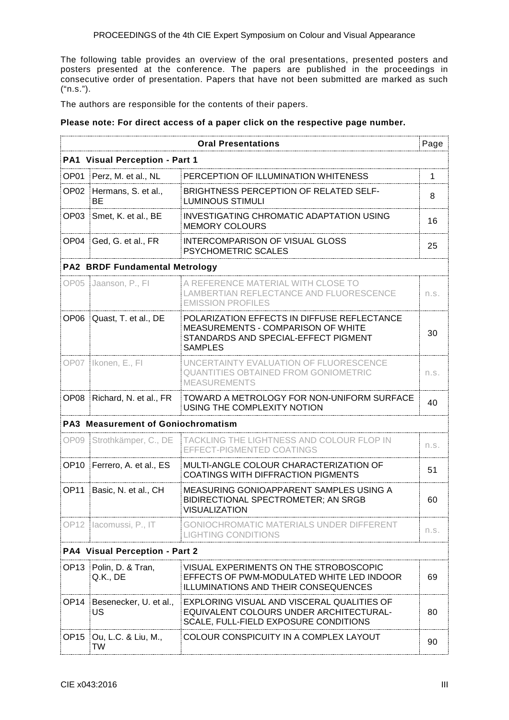The following table provides an overview of the oral presentations, presented posters and posters presented at the conference. The papers are published in the proceedings in consecutive order of presentation. Papers that have not been submitted are marked as such ("n.s.").

The authors are responsible for the contents of their papers.

## **Please note: For direct access of a paper click on the respective page number.**

|                  |                                           | <b>Oral Presentations</b>                                                                                                                          | Page |  |
|------------------|-------------------------------------------|----------------------------------------------------------------------------------------------------------------------------------------------------|------|--|
|                  | <b>PA1 Visual Perception - Part 1</b>     |                                                                                                                                                    |      |  |
| OP <sub>01</sub> | Perz, M. et al., NL                       | PERCEPTION OF ILLUMINATION WHITENESS                                                                                                               | 1    |  |
|                  | OP02 Hermans, S. et al.,<br>ВE            | <b>BRIGHTNESS PERCEPTION OF RELATED SELF-</b><br><b>LUMINOUS STIMULI</b>                                                                           | 8    |  |
| OP <sub>03</sub> | Smet, K. et al., BE                       | INVESTIGATING CHROMATIC ADAPTATION USING<br><b>MEMORY COLOURS</b>                                                                                  | 16   |  |
|                  | OP04 Ged, G. et al., FR                   | INTERCOMPARISON OF VISUAL GLOSS<br><b>PSYCHOMETRIC SCALES</b>                                                                                      | 25   |  |
|                  | <b>PA2 BRDF Fundamental Metrology</b>     |                                                                                                                                                    |      |  |
|                  | OP05 Jaanson, P., Fl                      | A REFERENCE MATERIAL WITH CLOSE TO<br>LAMBERTIAN REFLECTANCE AND FLUORESCENCE<br><b>EMISSION PROFILES</b>                                          | n.s. |  |
|                  | OP06 Quast, T. et al., DE                 | POLARIZATION EFFECTS IN DIFFUSE REFLECTANCE<br><b>MEASUREMENTS - COMPARISON OF WHITE</b><br>STANDARDS AND SPECIAL-EFFECT PIGMENT<br><b>SAMPLES</b> | 30   |  |
|                  | OP07 Ikonen, E., FI                       | UNCERTAINTY EVALUATION OF FLUORESCENCE<br><b>QUANTITIES OBTAINED FROM GONIOMETRIC</b><br><b>MEASUREMENTS</b>                                       | n.s. |  |
|                  | OP08 Richard, N. et al., FR               | TOWARD A METROLOGY FOR NON-UNIFORM SURFACE<br>USING THE COMPLEXITY NOTION                                                                          | 40   |  |
|                  | <b>PA3 Measurement of Goniochromatism</b> |                                                                                                                                                    |      |  |
|                  | OP09 Strothkämper, C., DE                 | <b>TACKLING THE LIGHTNESS AND COLOUR FLOP IN</b><br>EFFECT-PIGMENTED COATINGS                                                                      | n.s. |  |
|                  | OP10 Ferrero, A. et al., ES               | MULTI-ANGLE COLOUR CHARACTERIZATION OF<br>COATINGS WITH DIFFRACTION PIGMENTS                                                                       | 51   |  |
|                  | OP11 Basic, N. et al., CH                 | MEASURING GONIOAPPARENT SAMPLES USING A<br>BIDIRECTIONAL SPECTROMETER; AN SRGB<br><b>VISUALIZATION</b>                                             | 60   |  |
|                  | OP12 Iacomussi, P., IT                    | GONIOCHROMATIC MATERIALS UNDER DIFFERENT<br>ING CONDITIONS                                                                                         | n.s. |  |
|                  | <b>PA4 Visual Perception - Part 2</b>     |                                                                                                                                                    |      |  |
| OP <sub>13</sub> | Polin, D. & Tran,<br>Q.K., DE             | VISUAL EXPERIMENTS ON THE STROBOSCOPIC<br>EFFECTS OF PWM-MODULATED WHITE LED INDOOR<br>ILLUMINATIONS AND THEIR CONSEQUENCES                        | 69   |  |
| OP <sub>14</sub> | Besenecker, U. et al.,<br>US              | EXPLORING VISUAL AND VISCERAL QUALITIES OF<br>EQUIVALENT COLOURS UNDER ARCHITECTURAL-<br>SCALE, FULL-FIELD EXPOSURE CONDITIONS                     | 80   |  |
|                  | OP15   Ou, L.C. & Liu, M.,<br>TW          | COLOUR CONSPICUITY IN A COMPLEX LAYOUT                                                                                                             | 90   |  |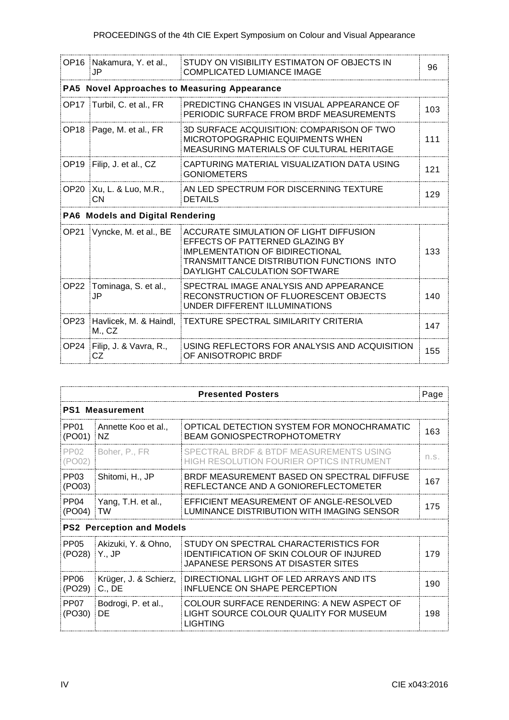| OP16 Nakamura, Y. et al.,<br>JP.                | STUDY ON VISIBILITY ESTIMATON OF OBJECTS IN<br><b>COMPLICATED LUMIANCE IMAGE</b>                                                                                                           | 96  |
|-------------------------------------------------|--------------------------------------------------------------------------------------------------------------------------------------------------------------------------------------------|-----|
|                                                 | PA5 Novel Approaches to Measuring Appearance                                                                                                                                               |     |
| OP17 Turbil, C. et al., FR                      | PREDICTING CHANGES IN VISUAL APPEARANCE OF<br>PERIODIC SURFACE FROM BRDF MEASUREMENTS                                                                                                      | 103 |
| OP18 Page, M. et al., FR                        | 3D SURFACE ACQUISITION: COMPARISON OF TWO<br>MICROTOPOGRAPHIC EQUIPMENTS WHEN<br>MEASURING MATERIALS OF CULTURAL HERITAGE                                                                  | 111 |
| OP19 Filip, J. et al., CZ                       | CAPTURING MATERIAL VISUALIZATION DATA USING<br><b>GONIOMETERS</b>                                                                                                                          | 121 |
| OP20   Xu, L. & Luo, M.R.,<br>CN.               | AN LED SPECTRUM FOR DISCERNING TEXTURE<br><b>DETAILS</b>                                                                                                                                   | 129 |
| PA6 Models and Digital Rendering                |                                                                                                                                                                                            |     |
| OP21 Vyncke, M. et al., BE                      | ACCURATE SIMULATION OF LIGHT DIFFUSION<br>EFFECTS OF PATTERNED GLAZING BY<br>IMPLEMENTATION OF BIDIRECTIONAL<br>TRANSMITTANCE DISTRIBUTION FUNCTIONS INTO<br>DAYLIGHT CALCULATION SOFTWARE | 133 |
| OP22 Tominaga, S. et al.,<br>JP                 | SPECTRAL IMAGE ANALYSIS AND APPEARANCE<br>RECONSTRUCTION OF FLUORESCENT OBJECTS<br>UNDER DIFFERENT ILLUMINATIONS                                                                           | 140 |
| OP23 Havlicek, M. & Haindl,<br>$M_{\cdot}$ , CZ | <b>TEXTURE SPECTRAL SIMILARITY CRITERIA</b>                                                                                                                                                | 147 |
| OP24 Filip, J. & Vavra, R.,                     | USING REFLECTORS FOR ANALYSIS AND ACQUISITION                                                                                                                                              | 155 |

|                            |                                  | <b>Presented Posters</b>                                                                                                | Page |  |
|----------------------------|----------------------------------|-------------------------------------------------------------------------------------------------------------------------|------|--|
|                            | <b>PS1 Measurement</b>           |                                                                                                                         |      |  |
| PP <sub>01</sub><br>(PO01) | Annette Koo et al.,<br>NZ.       | OPTICAL DETECTION SYSTEM FOR MONOCHRAMATIC<br><b>BEAM GONIOSPECTROPHOTOMETRY</b>                                        | 163  |  |
| <b>PP02</b><br>(PO02)      | Boher, P., FR                    | SPECTRAL BRDF & BTDF MEASUREMENTS USING<br>HIGH RESOLUTION FOURIER OPTICS INTRUMENT                                     | n.s. |  |
| PP <sub>03</sub><br>(PO03) | Shitomi, H., JP                  | BRDF MEASUREMENT BASED ON SPECTRAL DIFFUSE<br>REFLECTANCE AND A GONIOREFLECTOMETER                                      | 167  |  |
| PP <sub>04</sub><br>(PO04) | Yang, T.H. et al.,<br><b>TW</b>  | EFFICIENT MEASUREMENT OF ANGLE-RESOLVED<br>LUMINANCE DISTRIBUTION WITH IMAGING SENSOR                                   | 175  |  |
|                            | <b>PS2 Perception and Models</b> |                                                                                                                         |      |  |
| PP <sub>05</sub><br>(PO28) | Akizuki, Y. & Ohno,<br>∣Y., JP   | STUDY ON SPECTRAL CHARACTERISTICS FOR<br>IDENTIFICATION OF SKIN COLOUR OF INJURED<br>JAPANESE PERSONS AT DISASTER SITES | 179  |  |
| <b>PP06</b><br>(PO29)      | Krüger, J. & Schierz,<br>C., DE  | DIRECTIONAL LIGHT OF LED ARRAYS AND ITS<br>INFLUENCE ON SHAPE PERCEPTION                                                | 190  |  |
| PP <sub>07</sub><br>(PO30) | Bodrogi, P. et al.,<br>DE        | COLOUR SURFACE RENDERING: A NEW ASPECT OF<br>LIGHT SOURCE COLOUR QUALITY FOR MUSEUM<br><b>LIGHTING</b>                  | 198  |  |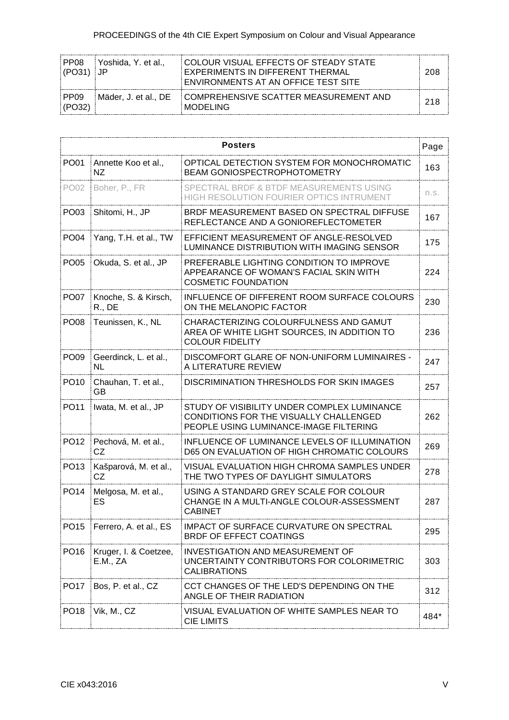| PP08<br>  (PO31)   JP      | ⊟Yoshida. Y. et al | COLOUR VISUAL EFFECTS OF STEADY STATE<br>EXPERIMENTS IN DIFFERENT THERMAL<br>ENVIRONMENTS AT AN OFFICE TEST SITE | 208 |
|----------------------------|--------------------|------------------------------------------------------------------------------------------------------------------|-----|
| PP <sub>09</sub><br>(PO32) |                    | Mäder, J. et al., DE COMPREHENSIVE SCATTER MEASUREMENT AND<br><b>MODELING</b>                                    | 218 |

|                  | <b>Posters</b><br>Page                   |                                                                                                                                 |      |
|------------------|------------------------------------------|---------------------------------------------------------------------------------------------------------------------------------|------|
| <b>PO01</b>      | Annette Koo et al.,<br>NZ.               | OPTICAL DETECTION SYSTEM FOR MONOCHROMATIC<br><b>BEAM GONIOSPECTROPHOTOMETRY</b>                                                | 163  |
| PO02             | Boher, P., FR                            | SPECTRAL BRDF & BTDF MEASUREMENTS USING<br>HIGH RESOLUTION FOURIER OPTICS INTRUMENT                                             | n.s. |
| PO03             | Shitomi, H., JP                          | BRDF MEASUREMENT BASED ON SPECTRAL DIFFUSE<br>REFLECTANCE AND A GONIOREFLECTOMETER                                              | 167  |
| PO <sub>04</sub> | Yang, T.H. et al., TW                    | EFFICIENT MEASUREMENT OF ANGLE-RESOLVED<br>LUMINANCE DISTRIBUTION WITH IMAGING SENSOR                                           | 175  |
| PO05             | Okuda, S. et al., JP                     | PREFERABLE LIGHTING CONDITION TO IMPROVE<br>APPEARANCE OF WOMAN'S FACIAL SKIN WITH<br><b>COSMETIC FOUNDATION</b>                | 224  |
| PO07             | Knoche, S. & Kirsch,<br>$R_{\cdot}$ , DE | INFLUENCE OF DIFFERENT ROOM SURFACE COLOURS<br>ON THE MELANOPIC FACTOR                                                          | 230  |
| PO <sub>08</sub> | Teunissen, K., NL                        | CHARACTERIZING COLOURFULNESS AND GAMUT<br>AREA OF WHITE LIGHT SOURCES, IN ADDITION TO<br><b>COLOUR FIDELITY</b>                 | 236  |
| PO <sub>09</sub> | Geerdinck, L. et al.,<br>NL              | DISCOMFORT GLARE OF NON-UNIFORM LUMINAIRES -<br>A LITERATURE REVIEW                                                             | 247  |
| PO <sub>10</sub> | Chauhan, T. et al.,<br>GВ                | DISCRIMINATION THRESHOLDS FOR SKIN IMAGES                                                                                       | 257  |
| PO11             | Iwata, M. et al., JP                     | STUDY OF VISIBILITY UNDER COMPLEX LUMINANCE<br>CONDITIONS FOR THE VISUALLY CHALLENGED<br>PEOPLE USING LUMINANCE-IMAGE FILTERING | 262  |
| PO12             | Pechová, M. et al.,<br>CZ                | INFLUENCE OF LUMINANCE LEVELS OF ILLUMINATION<br>D65 ON EVALUATION OF HIGH CHROMATIC COLOURS                                    | 269  |
| PO13             | Kašparová, M. et al.,<br>CZ              | VISUAL EVALUATION HIGH CHROMA SAMPLES UNDER<br>THE TWO TYPES OF DAYLIGHT SIMULATORS                                             | 278  |
| PO14             | Melgosa, M. et al.,<br>ES                | USING A STANDARD GREY SCALE FOR COLOUR<br>CHANGE IN A MULTI-ANGLE COLOUR-ASSESSMENT<br><b>CABINET</b>                           | 287  |
|                  | PO15 Ferrero, A. et al., ES              | IMPACT OF SURFACE CURVATURE ON SPECTRAL<br><b>BRDF OF EFFECT COATINGS</b>                                                       | 295  |
| PO <sub>16</sub> | Kruger, I. & Coetzee,<br>E.M., ZA        | <b>INVESTIGATION AND MEASUREMENT OF</b><br>UNCERTAINTY CONTRIBUTORS FOR COLORIMETRIC<br><b>CALIBRATIONS</b>                     | 303  |
| PO17             | Bos, P. et al., CZ                       | CCT CHANGES OF THE LED'S DEPENDING ON THE<br>ANGLE OF THEIR RADIATION                                                           | 312  |
| PO <sub>18</sub> | Vik, M., CZ                              | VISUAL EVALUATION OF WHITE SAMPLES NEAR TO<br><b>CIE LIMITS</b>                                                                 | 484* |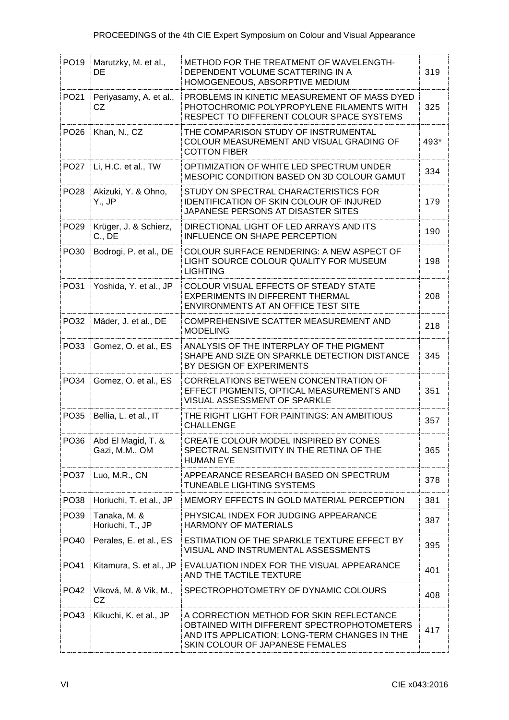|                  | PO19 Marutzky, M. et al.,<br>DE      | METHOD FOR THE TREATMENT OF WAVELENGTH-<br>DEPENDENT VOLUME SCATTERING IN A<br>HOMOGENEOUS, ABSORPTIVE MEDIUM                                                              | 319  |
|------------------|--------------------------------------|----------------------------------------------------------------------------------------------------------------------------------------------------------------------------|------|
| PO21             | Periyasamy, A. et al.,<br>CZ.        | PROBLEMS IN KINETIC MEASUREMENT OF MASS DYED<br>PHOTOCHROMIC POLYPROPYLENE FILAMENTS WITH<br>RESPECT TO DIFFERENT COLOUR SPACE SYSTEMS                                     | 325  |
| PO <sub>26</sub> | Khan, N., CZ                         | THE COMPARISON STUDY OF INSTRUMENTAL<br>COLOUR MEASUREMENT AND VISUAL GRADING OF<br><b>COTTON FIBER</b>                                                                    | 493* |
| <b>PO27</b>      | Li, H.C. et al., TW                  | OPTIMIZATION OF WHITE LED SPECTRUM UNDER<br>MESOPIC CONDITION BASED ON 3D COLOUR GAMUT                                                                                     | 334  |
| PO <sub>28</sub> | Akizuki, Y. & Ohno,<br>Y., JP        | STUDY ON SPECTRAL CHARACTERISTICS FOR<br><b>IDENTIFICATION OF SKIN COLOUR OF INJURED</b><br>JAPANESE PERSONS AT DISASTER SITES                                             | 179  |
| PO <sub>29</sub> | Krüger, J. & Schierz,<br>C., DE      | DIRECTIONAL LIGHT OF LED ARRAYS AND ITS<br>INFLUENCE ON SHAPE PERCEPTION                                                                                                   | 190  |
| PO30             | Bodrogi, P. et al., DE               | COLOUR SURFACE RENDERING: A NEW ASPECT OF<br>LIGHT SOURCE COLOUR QUALITY FOR MUSEUM<br><b>LIGHTING</b>                                                                     | 198  |
| PO31             | Yoshida, Y. et al., JP               | COLOUR VISUAL EFFECTS OF STEADY STATE<br>EXPERIMENTS IN DIFFERENT THERMAL<br>ENVIRONMENTS AT AN OFFICE TEST SITE                                                           | 208  |
| PO32             | Mäder, J. et al., DE                 | COMPREHENSIVE SCATTER MEASUREMENT AND<br><b>MODELING</b>                                                                                                                   | 218  |
| PO33             | Gomez, O. et al., ES                 | ANALYSIS OF THE INTERPLAY OF THE PIGMENT<br>SHAPE AND SIZE ON SPARKLE DETECTION DISTANCE<br>BY DESIGN OF EXPERIMENTS                                                       | 345  |
| PO34             | Gomez, O. et al., ES                 | CORRELATIONS BETWEEN CONCENTRATION OF<br>EFFECT PIGMENTS, OPTICAL MEASUREMENTS AND<br>VISUAL ASSESSMENT OF SPARKLE                                                         | 351  |
| PO35             | Bellia, L. et al., IT                | THE RIGHT LIGHT FOR PAINTINGS: AN AMBITIOUS<br><b>CHALLENGE</b>                                                                                                            | 357  |
| PO36             | Abd El Magid, T. &<br>Gazi, M.M., OM | CREATE COLOUR MODEL INSPIRED BY CONES<br>SPECTRAL SENSITIVITY IN THE RETINA OF THE<br><b>HUMAN EYE</b>                                                                     | 365  |
| PO <sub>37</sub> | Luo, M.R., CN                        | APPEARANCE RESEARCH BASED ON SPECTRUM<br>TUNEABLE LIGHTING SYSTEMS                                                                                                         | 378  |
| PO38             | Horiuchi, T. et al., JP              | MEMORY EFFECTS IN GOLD MATERIAL PERCEPTION                                                                                                                                 | 381  |
| PO39             | Tanaka, M. &<br>Horiuchi, T., JP     | PHYSICAL INDEX FOR JUDGING APPEARANCE<br>HARMONY OF MATERIALS                                                                                                              | 387  |
| PO <sub>40</sub> | Perales, E. et al., ES               | ESTIMATION OF THE SPARKLE TEXTURE EFFECT BY<br>VISUAL AND INSTRUMENTAL ASSESSMENTS                                                                                         | 395  |
| PO41             | Kitamura, S. et al., JP              | EVALUATION INDEX FOR THE VISUAL APPEARANCE<br>AND THE TACTILE TEXTURE                                                                                                      | 401  |
| PO42             | Viková, M. & Vik, M.,<br>CZ          | SPECTROPHOTOMETRY OF DYNAMIC COLOURS                                                                                                                                       | 408  |
| PO43             | Kikuchi, K. et al., JP               | A CORRECTION METHOD FOR SKIN REFLECTANCE<br>OBTAINED WITH DIFFERENT SPECTROPHOTOMETERS<br>AND ITS APPLICATION: LONG-TERM CHANGES IN THE<br>SKIN COLOUR OF JAPANESE FEMALES | 417  |